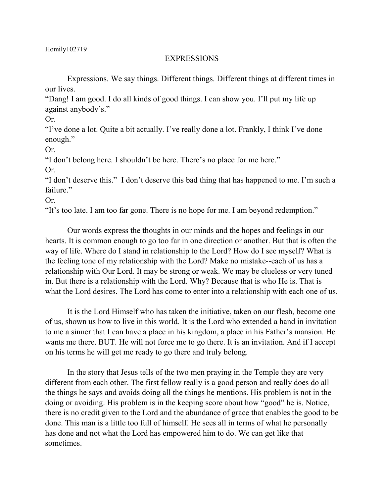## EXPRESSIONS

Expressions. We say things. Different things. Different things at different times in our lives.

"Dang! I am good. I do all kinds of good things. I can show you. I'll put my life up against anybody's."

Or.

"I've done a lot. Quite a bit actually. I've really done a lot. Frankly, I think I've done enough."

Or.

"I don't belong here. I shouldn't be here. There's no place for me here."

Or.

"I don't deserve this." I don't deserve this bad thing that has happened to me. I'm such a failure."

Or.

"It's too late. I am too far gone. There is no hope for me. I am beyond redemption."

Our words express the thoughts in our minds and the hopes and feelings in our hearts. It is common enough to go too far in one direction or another. But that is often the way of life. Where do I stand in relationship to the Lord? How do I see myself? What is the feeling tone of my relationship with the Lord? Make no mistake--each of us has a relationship with Our Lord. It may be strong or weak. We may be clueless or very tuned in. But there is a relationship with the Lord. Why? Because that is who He is. That is what the Lord desires. The Lord has come to enter into a relationship with each one of us.

It is the Lord Himself who has taken the initiative, taken on our flesh, become one of us, shown us how to live in this world. It is the Lord who extended a hand in invitation to me a sinner that I can have a place in his kingdom, a place in his Father's mansion. He wants me there. BUT. He will not force me to go there. It is an invitation. And if I accept on his terms he will get me ready to go there and truly belong.

In the story that Jesus tells of the two men praying in the Temple they are very different from each other. The first fellow really is a good person and really does do all the things he says and avoids doing all the things he mentions. His problem is not in the doing or avoiding. His problem is in the keeping score about how "good" he is. Notice, there is no credit given to the Lord and the abundance of grace that enables the good to be done. This man is a little too full of himself. He sees all in terms of what he personally has done and not what the Lord has empowered him to do. We can get like that sometimes.